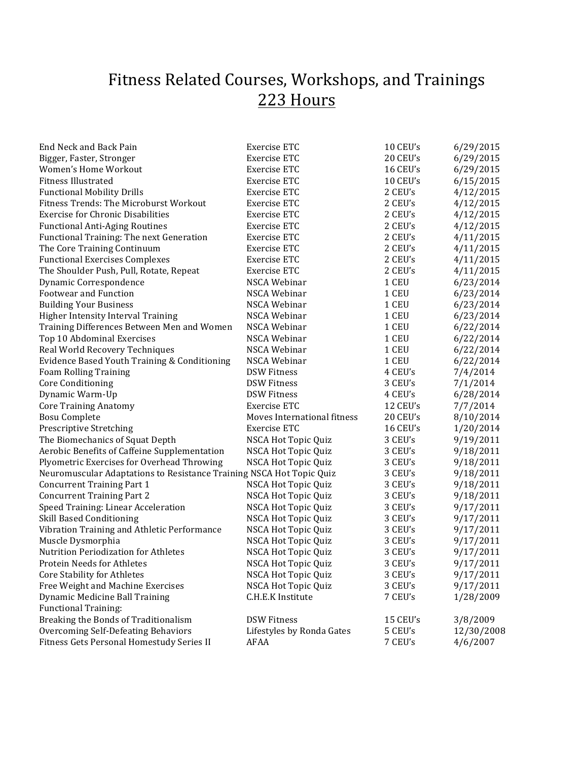## Fitness Related Courses, Workshops, and Trainings 223 Hours

| End Neck and Back Pain                                               | <b>Exercise ETC</b>         | 10 CEU's | 6/29/2015  |
|----------------------------------------------------------------------|-----------------------------|----------|------------|
| Bigger, Faster, Stronger                                             | Exercise ETC                | 20 CEU's | 6/29/2015  |
| Women's Home Workout                                                 | Exercise ETC                | 16 CEU's | 6/29/2015  |
| <b>Fitness Illustrated</b>                                           | Exercise ETC                | 10 CEU's | 6/15/2015  |
| <b>Functional Mobility Drills</b>                                    | Exercise ETC                | 2 CEU's  | 4/12/2015  |
| Fitness Trends: The Microburst Workout                               | Exercise ETC                | 2 CEU's  | 4/12/2015  |
| <b>Exercise for Chronic Disabilities</b>                             | Exercise ETC                | 2 CEU's  | 4/12/2015  |
| <b>Functional Anti-Aging Routines</b>                                | Exercise ETC                | 2 CEU's  | 4/12/2015  |
| Functional Training: The next Generation                             | Exercise ETC                | 2 CEU's  | 4/11/2015  |
| The Core Training Continuum                                          | Exercise ETC                | 2 CEU's  | 4/11/2015  |
| <b>Functional Exercises Complexes</b>                                | Exercise ETC                | 2 CEU's  | 4/11/2015  |
| The Shoulder Push, Pull, Rotate, Repeat                              | Exercise ETC                | 2 CEU's  | 4/11/2015  |
| Dynamic Correspondence                                               | NSCA Webinar                | 1 CEU    | 6/23/2014  |
| Footwear and Function                                                | NSCA Webinar                | 1 CEU    | 6/23/2014  |
| <b>Building Your Business</b>                                        | NSCA Webinar                | 1 CEU    | 6/23/2014  |
| Higher Intensity Interval Training                                   | NSCA Webinar                | 1 CEU    | 6/23/2014  |
| Training Differences Between Men and Women                           | NSCA Webinar                | 1 CEU    | 6/22/2014  |
| Top 10 Abdominal Exercises                                           | NSCA Webinar                | 1 CEU    | 6/22/2014  |
| Real World Recovery Techniques                                       | NSCA Webinar                | 1 CEU    | 6/22/2014  |
| Evidence Based Youth Training & Conditioning                         | NSCA Webinar                | 1 CEU    | 6/22/2014  |
| <b>Foam Rolling Training</b>                                         | <b>DSW Fitness</b>          | 4 CEU's  | 7/4/2014   |
| <b>Core Conditioning</b>                                             | <b>DSW Fitness</b>          | 3 CEU's  | 7/1/2014   |
| Dynamic Warm-Up                                                      | <b>DSW Fitness</b>          | 4 CEU's  | 6/28/2014  |
| <b>Core Training Anatomy</b>                                         | Exercise ETC                | 12 CEU's | 7/7/2014   |
| <b>Bosu Complete</b>                                                 | Moves International fitness | 20 CEU's | 8/10/2014  |
| Prescriptive Stretching                                              | Exercise ETC                | 16 CEU's | 1/20/2014  |
| The Biomechanics of Squat Depth                                      | NSCA Hot Topic Quiz         | 3 CEU's  | 9/19/2011  |
| Aerobic Benefits of Caffeine Supplementation                         | NSCA Hot Topic Quiz         | 3 CEU's  | 9/18/2011  |
| Plyometric Exercises for Overhead Throwing                           | NSCA Hot Topic Quiz         | 3 CEU's  | 9/18/2011  |
| Neuromuscular Adaptations to Resistance Training NSCA Hot Topic Quiz |                             | 3 CEU's  | 9/18/2011  |
| <b>Concurrent Training Part 1</b>                                    | NSCA Hot Topic Quiz         | 3 CEU's  | 9/18/2011  |
| <b>Concurrent Training Part 2</b>                                    | NSCA Hot Topic Quiz         | 3 CEU's  | 9/18/2011  |
| Speed Training: Linear Acceleration                                  | NSCA Hot Topic Quiz         | 3 CEU's  | 9/17/2011  |
| Skill Based Conditioning                                             | NSCA Hot Topic Quiz         | 3 CEU's  | 9/17/2011  |
| Vibration Training and Athletic Performance                          | NSCA Hot Topic Quiz         | 3 CEU's  | 9/17/2011  |
| Muscle Dysmorphia                                                    | NSCA Hot Topic Quiz         | 3 CEU's  | 9/17/2011  |
| Nutrition Periodization for Athletes                                 | NSCA Hot Topic Quiz         | 3 CEU's  | 9/17/2011  |
| <b>Protein Needs for Athletes</b>                                    | NSCA Hot Topic Quiz         | 3 CEU's  | 9/17/2011  |
| <b>Core Stability for Athletes</b>                                   | NSCA Hot Topic Quiz         | 3 CEU's  | 9/17/2011  |
| Free Weight and Machine Exercises                                    | NSCA Hot Topic Quiz         | 3 CEU's  | 9/17/2011  |
| Dynamic Medicine Ball Training                                       | C.H.E.K Institute           | 7 CEU's  | 1/28/2009  |
| <b>Functional Training:</b>                                          |                             |          |            |
| Breaking the Bonds of Traditionalism                                 | <b>DSW Fitness</b>          | 15 CEU's | 3/8/2009   |
| <b>Overcoming Self-Defeating Behaviors</b>                           | Lifestyles by Ronda Gates   | 5 CEU's  | 12/30/2008 |
| Fitness Gets Personal Homestudy Series II                            | AFAA                        | 7 CEU's  | 4/6/2007   |